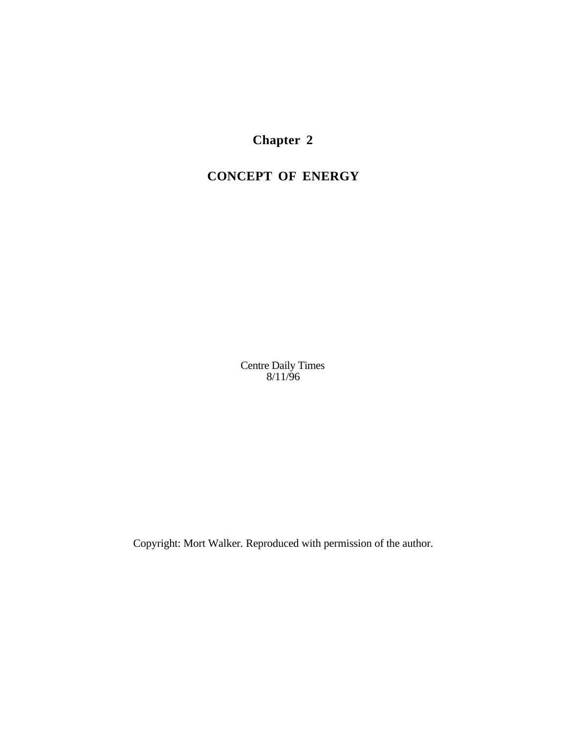**Chapter 2**

# **CONCEPT OF ENERGY**

Centre Daily Times 8/11/96

Copyright: Mort Walker. Reproduced with permission of the author.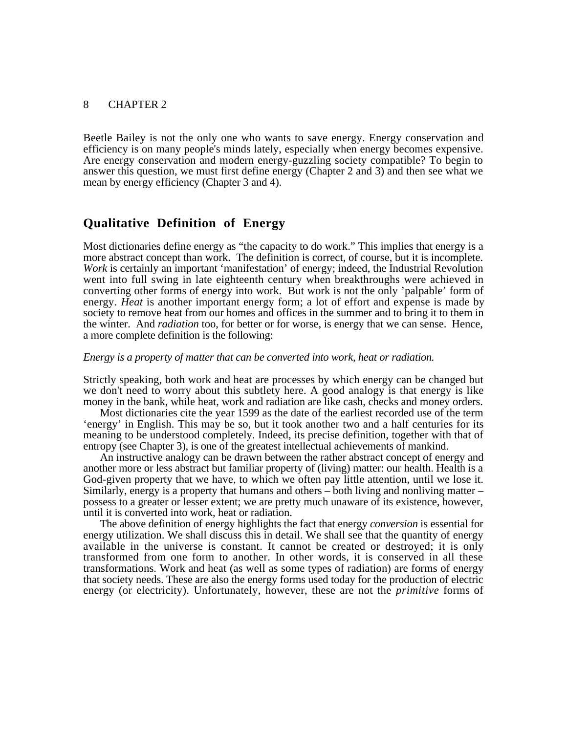Beetle Bailey is not the only one who wants to save energy. Energy conservation and efficiency is on many people's minds lately, especially when energy becomes expensive. Are energy conservation and modern energy-guzzling society compatible? To begin to answer this question, we must first define energy (Chapter 2 and 3) and then see what we mean by energy efficiency (Chapter 3 and 4).

## **Qualitative Definition of Energy**

Most dictionaries define energy as "the capacity to do work." This implies that energy is a more abstract concept than work. The definition is correct, of course, but it is incomplete. *Work* is certainly an important 'manifestation' of energy; indeed, the Industrial Revolution went into full swing in late eighteenth century when breakthroughs were achieved in converting other forms of energy into work. But work is not the only 'palpable' form of energy. *Heat* is another important energy form; a lot of effort and expense is made by society to remove heat from our homes and offices in the summer and to bring it to them in the winter. And *radiation* too, for better or for worse, is energy that we can sense. Hence, a more complete definition is the following:

#### *Energy is a property of matter that can be converted into work, heat or radiation.*

Strictly speaking, both work and heat are processes by which energy can be changed but we don't need to worry about this subtlety here. A good analogy is that energy is like money in the bank, while heat, work and radiation are like cash, checks and money orders.

Most dictionaries cite the year 1599 as the date of the earliest recorded use of the term 'energy' in English. This may be so, but it took another two and a half centuries for its meaning to be understood completely. Indeed, its precise definition, together with that of entropy (see Chapter 3), is one of the greatest intellectual achievements of mankind.

An instructive analogy can be drawn between the rather abstract concept of energy and another more or less abstract but familiar property of (living) matter: our health. Health is a God-given property that we have, to which we often pay little attention, until we lose it. Similarly, energy is a property that humans and others – both living and nonliving matter – possess to a greater or lesser extent; we are pretty much unaware of its existence, however, until it is converted into work, heat or radiation.

The above definition of energy highlights the fact that energy *conversion* is essential for energy utilization. We shall discuss this in detail. We shall see that the quantity of energy available in the universe is constant. It cannot be created or destroyed; it is only transformed from one form to another. In other words, it is conserved in all these transformations. Work and heat (as well as some types of radiation) are forms of energy that society needs. These are also the energy forms used today for the production of electric energy (or electricity). Unfortunately, however, these are not the *primitive* forms of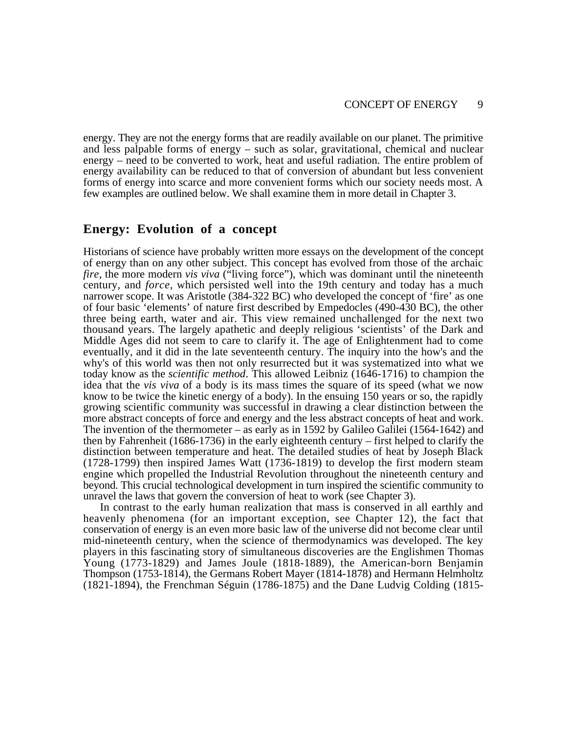energy. They are not the energy forms that are readily available on our planet. The primitive and less palpable forms of energy – such as solar, gravitational, chemical and nuclear energy – need to be converted to work, heat and useful radiation. The entire problem of energy availability can be reduced to that of conversion of abundant but less convenient forms of energy into scarce and more convenient forms which our society needs most. A few examples are outlined below. We shall examine them in more detail in Chapter 3.

## **Energy: Evolution of a concept**

Historians of science have probably written more essays on the development of the concept of energy than on any other subject. This concept has evolved from those of the archaic *fire*, the more modern *vis viva* ("living force"), which was dominant until the nineteenth century, and *force*, which persisted well into the 19th century and today has a much narrower scope. It was Aristotle (384-322 BC) who developed the concept of 'fire' as one of four basic 'elements' of nature first described by Empedocles (490-430 BC), the other three being earth, water and air. This view remained unchallenged for the next two thousand years. The largely apathetic and deeply religious 'scientists' of the Dark and Middle Ages did not seem to care to clarify it. The age of Enlightenment had to come eventually, and it did in the late seventeenth century. The inquiry into the how's and the why's of this world was then not only resurrected but it was systematized into what we today know as the *scientific method*. This allowed Leibniz (1646-1716) to champion the idea that the *vis viva* of a body is its mass times the square of its speed (what we now know to be twice the kinetic energy of a body). In the ensuing 150 years or so, the rapidly growing scientific community was successful in drawing a clear distinction between the more abstract concepts of force and energy and the less abstract concepts of heat and work. The invention of the thermometer – as early as in 1592 by Galileo Galilei (1564-1642) and then by Fahrenheit (1686-1736) in the early eighteenth century – first helped to clarify the distinction between temperature and heat. The detailed studies of heat by Joseph Black (1728-1799) then inspired James Watt (1736-1819) to develop the first modern steam engine which propelled the Industrial Revolution throughout the nineteenth century and beyond. This crucial technological development in turn inspired the scientific community to unravel the laws that govern the conversion of heat to work (see Chapter 3).

In contrast to the early human realization that mass is conserved in all earthly and heavenly phenomena (for an important exception, see Chapter 12), the fact that conservation of energy is an even more basic law of the universe did not become clear until mid-nineteenth century, when the science of thermodynamics was developed. The key players in this fascinating story of simultaneous discoveries are the Englishmen Thomas Young (1773-1829) and James Joule (1818-1889), the American-born Benjamin Thompson (1753-1814), the Germans Robert Mayer (1814-1878) and Hermann Helmholtz (1821-1894), the Frenchman Séguin (1786-1875) and the Dane Ludvig Colding (1815-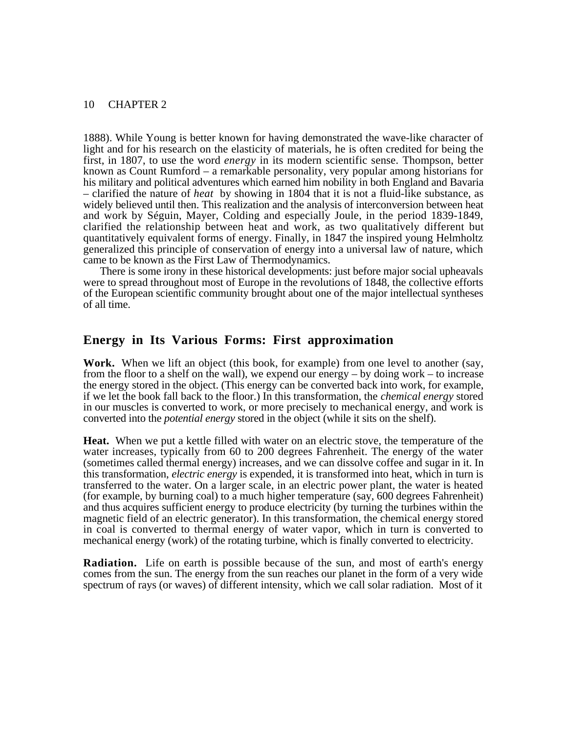1888). While Young is better known for having demonstrated the wave-like character of light and for his research on the elasticity of materials, he is often credited for being the first, in 1807, to use the word *energy* in its modern scientific sense. Thompson, better known as Count Rumford – a remarkable personality, very popular among historians for his military and political adventures which earned him nobility in both England and Bavaria – clarified the nature of *heat* by showing in 1804 that it is not a fluid-like substance, as widely believed until then. This realization and the analysis of interconversion between heat and work by Séguin, Mayer, Colding and especially Joule, in the period 1839-1849, clarified the relationship between heat and work, as two qualitatively different but quantitatively equivalent forms of energy. Finally, in 1847 the inspired young Helmholtz generalized this principle of conservation of energy into a universal law of nature, which came to be known as the First Law of Thermodynamics.

There is some irony in these historical developments: just before major social upheavals were to spread throughout most of Europe in the revolutions of 1848, the collective efforts of the European scientific community brought about one of the major intellectual syntheses of all time.

## **Energy in Its Various Forms: First approximation**

**Work.** When we lift an object (this book, for example) from one level to another (say, from the floor to a shelf on the wall), we expend our energy – by doing work – to increase the energy stored in the object. (This energy can be converted back into work, for example, if we let the book fall back to the floor.) In this transformation, the *chemical energy* stored in our muscles is converted to work, or more precisely to mechanical energy, and work is converted into the *potential energy* stored in the object (while it sits on the shelf).

**Heat.** When we put a kettle filled with water on an electric stove, the temperature of the water increases, typically from 60 to 200 degrees Fahrenheit. The energy of the water (sometimes called thermal energy) increases, and we can dissolve coffee and sugar in it. In this transformation, *electric energy* is expended, it is transformed into heat, which in turn is transferred to the water. On a larger scale, in an electric power plant, the water is heated (for example, by burning coal) to a much higher temperature (say, 600 degrees Fahrenheit) and thus acquires sufficient energy to produce electricity (by turning the turbines within the magnetic field of an electric generator). In this transformation, the chemical energy stored in coal is converted to thermal energy of water vapor, which in turn is converted to mechanical energy (work) of the rotating turbine, which is finally converted to electricity.

**Radiation.** Life on earth is possible because of the sun, and most of earth's energy comes from the sun. The energy from the sun reaches our planet in the form of a very wide spectrum of rays (or waves) of different intensity, which we call solar radiation. Most of it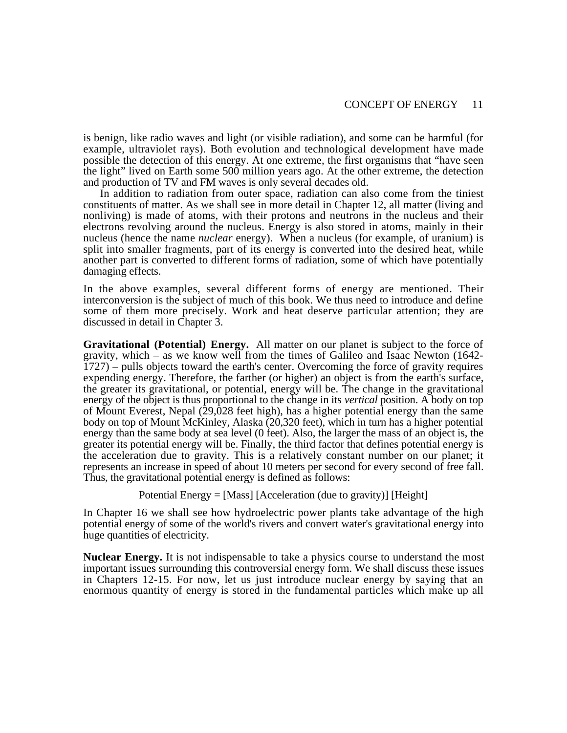is benign, like radio waves and light (or visible radiation), and some can be harmful (for example, ultraviolet rays). Both evolution and technological development have made possible the detection of this energy. At one extreme, the first organisms that "have seen the light" lived on Earth some 500 million years ago. At the other extreme, the detection and production of TV and FM waves is only several decades old.

In addition to radiation from outer space, radiation can also come from the tiniest constituents of matter. As we shall see in more detail in Chapter 12, all matter (living and nonliving) is made of atoms, with their protons and neutrons in the nucleus and their electrons revolving around the nucleus. Energy is also stored in atoms, mainly in their nucleus (hence the name *nuclear* energy). When a nucleus (for example, of uranium) is split into smaller fragments, part of its energy is converted into the desired heat, while another part is converted to different forms of radiation, some of which have potentially damaging effects.

In the above examples, several different forms of energy are mentioned. Their interconversion is the subject of much of this book. We thus need to introduce and define some of them more precisely. Work and heat deserve particular attention; they are discussed in detail in Chapter 3.

**Gravitational (Potential) Energy.** All matter on our planet is subject to the force of gravity, which – as we know well from the times of Galileo and Isaac Newton (1642-  $1727$ ) – pulls objects toward the earth's center. Overcoming the force of gravity requires expending energy. Therefore, the farther (or higher) an object is from the earth's surface, the greater its gravitational, or potential, energy will be. The change in the gravitational energy of the object is thus proportional to the change in its *vertical* position. A body on top of Mount Everest, Nepal (29,028 feet high), has a higher potential energy than the same body on top of Mount McKinley, Alaska (20,320 feet), which in turn has a higher potential energy than the same body at sea level (0 feet). Also, the larger the mass of an object is, the greater its potential energy will be. Finally, the third factor that defines potential energy is the acceleration due to gravity. This is a relatively constant number on our planet; it represents an increase in speed of about 10 meters per second for every second of free fall. Thus, the gravitational potential energy is defined as follows:

Potential Energy = [Mass] [Acceleration (due to gravity)] [Height]

In Chapter 16 we shall see how hydroelectric power plants take advantage of the high potential energy of some of the world's rivers and convert water's gravitational energy into huge quantities of electricity.

**Nuclear Energy.** It is not indispensable to take a physics course to understand the most important issues surrounding this controversial energy form. We shall discuss these issues in Chapters 12-15. For now, let us just introduce nuclear energy by saying that an enormous quantity of energy is stored in the fundamental particles which make up all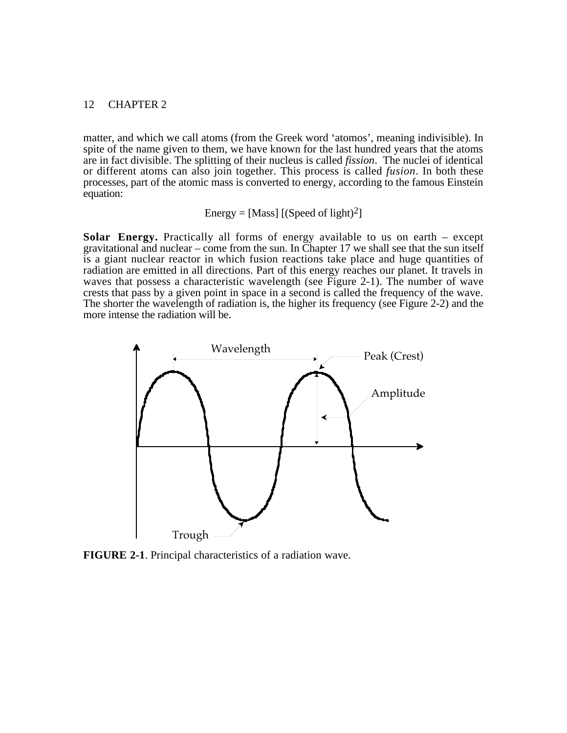matter, and which we call atoms (from the Greek word 'atomos', meaning indivisible). In spite of the name given to them, we have known for the last hundred years that the atoms are in fact divisible. The splitting of their nucleus is called *fission*. The nuclei of identical or different atoms can also join together. This process is called *fusion*. In both these processes, part of the atomic mass is converted to energy, according to the famous Einstein equation:

Energy = [Mass] [(Speed of light)<sup>2</sup>]

**Solar Energy.** Practically all forms of energy available to us on earth – except gravitational and nuclear – come from the sun. In Chapter 17 we shall see that the sun itself is a giant nuclear reactor in which fusion reactions take place and huge quantities of radiation are emitted in all directions. Part of this energy reaches our planet. It travels in waves that possess a characteristic wavelength (see Figure 2-1). The number of wave crests that pass by a given point in space in a second is called the frequency of the wave. The shorter the wavelength of radiation is, the higher its frequency (see Figure 2-2) and the more intense the radiation will be.



**FIGURE 2-1**. Principal characteristics of a radiation wave.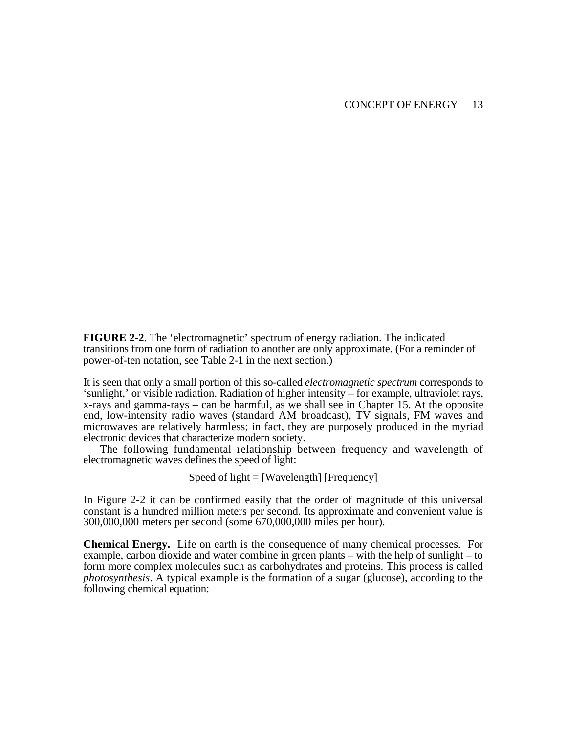**FIGURE 2-2**. The 'electromagnetic' spectrum of energy radiation. The indicated transitions from one form of radiation to another are only approximate. (For a reminder of power-of-ten notation, see Table 2-1 in the next section.)

It is seen that only a small portion of this so-called *electromagnetic spectrum* corresponds to 'sunlight,' or visible radiation. Radiation of higher intensity – for example, ultraviolet rays, x-rays and gamma-rays – can be harmful, as we shall see in Chapter 15. At the opposite end, low-intensity radio waves (standard AM broadcast), TV signals, FM waves and microwaves are relatively harmless; in fact, they are purposely produced in the myriad electronic devices that characterize modern society.

The following fundamental relationship between frequency and wavelength of electromagnetic waves defines the speed of light:

Speed of light = [Wavelength] [Frequency]

In Figure 2-2 it can be confirmed easily that the order of magnitude of this universal constant is a hundred million meters per second. Its approximate and convenient value is 300,000,000 meters per second (some 670,000,000 miles per hour).

**Chemical Energy.** Life on earth is the consequence of many chemical processes. For example, carbon dioxide and water combine in green plants – with the help of sunlight – to form more complex molecules such as carbohydrates and proteins. This process is called *photosynthesis*. A typical example is the formation of a sugar (glucose), according to the following chemical equation: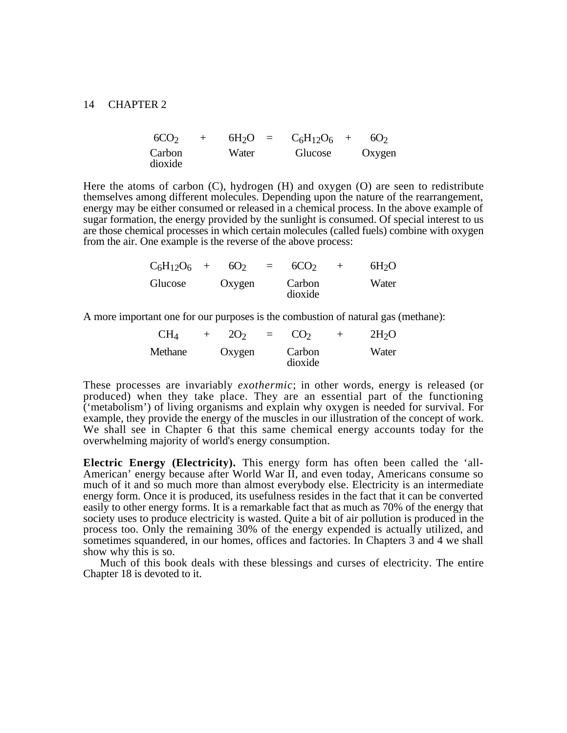| 6CO <sub>2</sub> |       | $6H_2O = C_6H_{12}O_6 +$ | 6O <sub>2</sub> |
|------------------|-------|--------------------------|-----------------|
| Carbon           | Water | Glucose                  | Oxygen          |
| dioxide          |       |                          |                 |

Here the atoms of carbon (C), hydrogen (H) and oxygen (O) are seen to redistribute themselves among different molecules. Depending upon the nature of the rearrangement, energy may be either consumed or released in a chemical process. In the above example of sugar formation, the energy provided by the sunlight is consumed. Of special interest to us are those chemical processes in which certain molecules (called fuels) combine with oxygen from the air. One example is the reverse of the above process:

| $C_6H_{12}O_6$ + | 6O <sub>2</sub> | 6CO <sub>2</sub>  | 6H <sub>2</sub> O |
|------------------|-----------------|-------------------|-------------------|
| Glucose          | Oxygen          | Carbon<br>dioxide | Water             |

A more important one for our purposes is the combustion of natural gas (methane):

| CH <sub>4</sub> | 2O <sub>2</sub> | $\equiv$ | CO <sub>2</sub>   | 2H <sub>2</sub> O |
|-----------------|-----------------|----------|-------------------|-------------------|
| Methane         | Oxygen          |          | Carbon<br>dioxide | Water             |

These processes are invariably *exothermic*; in other words, energy is released (or produced) when they take place. They are an essential part of the functioning ('metabolism') of living organisms and explain why oxygen is needed for survival. For example, they provide the energy of the muscles in our illustration of the concept of work. We shall see in Chapter 6 that this same chemical energy accounts today for the overwhelming majority of world's energy consumption.

**Electric Energy (Electricity).** This energy form has often been called the 'all-American' energy because after World War II, and even today, Americans consume so much of it and so much more than almost everybody else. Electricity is an intermediate energy form. Once it is produced, its usefulness resides in the fact that it can be converted easily to other energy forms. It is a remarkable fact that as much as 70% of the energy that society uses to produce electricity is wasted. Quite a bit of air pollution is produced in the process too. Only the remaining 30% of the energy expended is actually utilized, and sometimes squandered, in our homes, offices and factories. In Chapters 3 and 4 we shall show why this is so.

Much of this book deals with these blessings and curses of electricity. The entire Chapter 18 is devoted to it.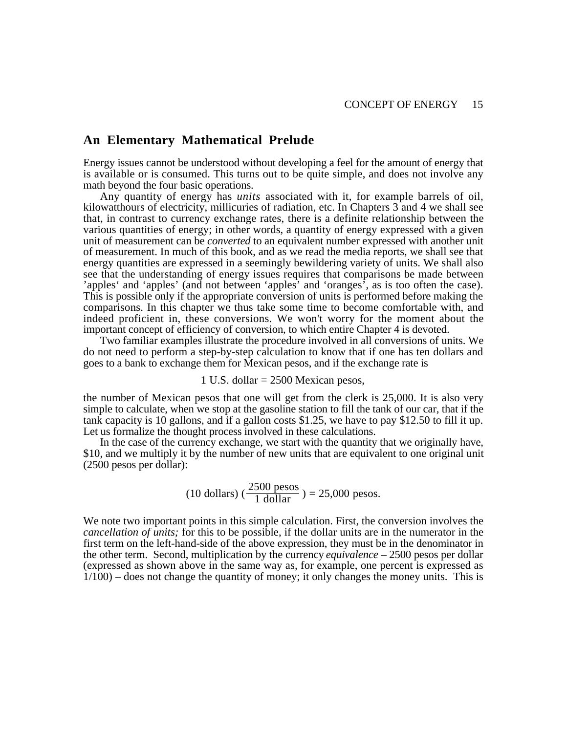## **An Elementary Mathematical Prelude**

Energy issues cannot be understood without developing a feel for the amount of energy that is available or is consumed. This turns out to be quite simple, and does not involve any math beyond the four basic operations.

Any quantity of energy has *units* associated with it, for example barrels of oil, kilowatthours of electricity, millicuries of radiation, etc. In Chapters 3 and 4 we shall see that, in contrast to currency exchange rates, there is a definite relationship between the various quantities of energy; in other words, a quantity of energy expressed with a given unit of measurement can be *converted* to an equivalent number expressed with another unit of measurement. In much of this book, and as we read the media reports, we shall see that energy quantities are expressed in a seemingly bewildering variety of units. We shall also see that the understanding of energy issues requires that comparisons be made between 'apples' and 'apples' (and not between 'apples' and 'oranges', as is too often the case). This is possible only if the appropriate conversion of units is performed before making the comparisons. In this chapter we thus take some time to become comfortable with, and indeed proficient in, these conversions. We won't worry for the moment about the important concept of efficiency of conversion, to which entire Chapter 4 is devoted.

Two familiar examples illustrate the procedure involved in all conversions of units. We do not need to perform a step-by-step calculation to know that if one has ten dollars and goes to a bank to exchange them for Mexican pesos, and if the exchange rate is

#### 1 U.S. dollar = 2500 Mexican pesos,

the number of Mexican pesos that one will get from the clerk is 25,000. It is also very simple to calculate, when we stop at the gasoline station to fill the tank of our car, that if the tank capacity is 10 gallons, and if a gallon costs \$1.25, we have to pay \$12.50 to fill it up. Let us formalize the thought process involved in these calculations.

In the case of the currency exchange, we start with the quantity that we originally have, \$10, and we multiply it by the number of new units that are equivalent to one original unit (2500 pesos per dollar):

(10 dollars) 
$$
\left(\frac{2500 \text{ pesos}}{1 \text{ dollar}}\right) = 25,000 \text{ pesos.}
$$

We note two important points in this simple calculation. First, the conversion involves the *cancellation of units;* for this to be possible, if the dollar units are in the numerator in the first term on the left-hand-side of the above expression, they must be in the denominator in the other term. Second, multiplication by the currency *equivalence* – 2500 pesos per dollar (expressed as shown above in the same way as, for example, one percent is expressed as 1/100) – does not change the quantity of money; it only changes the money units. This is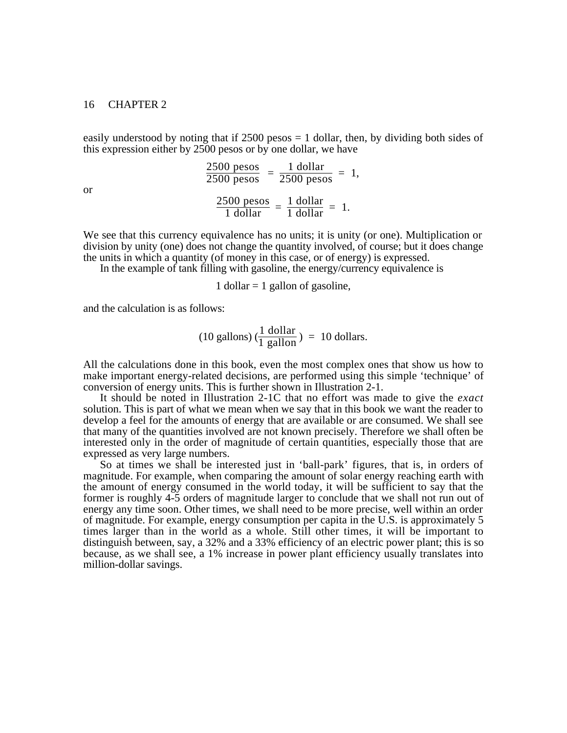easily understood by noting that if  $2500$  pesos  $= 1$  dollar, then, by dividing both sides of this expression either by 2500 pesos or by one dollar, we have

or

$$
\frac{2500 \text{ pesos}}{2500 \text{ pesos}} = \frac{1 \text{ dollar}}{2500 \text{ pesos}} = 1,
$$

$$
\frac{2500 \text{ pesos}}{1 \text{ dollar}} = \frac{1 \text{ dollar}}{1 \text{ dollar}} = 1.
$$

We see that this currency equivalence has no units; it is unity (or one). Multiplication or division by unity (one) does not change the quantity involved, of course; but it does change the units in which a quantity (of money in this case, or of energy) is expressed.

In the example of tank filling with gasoline, the energy/currency equivalence is

1 dollar  $= 1$  gallon of gasoline,

and the calculation is as follows:

$$
(10 \text{ gallons}) \left(\frac{1 \text{ dollar}}{1 \text{ gallon}}\right) = 10 \text{ dollars}.
$$

All the calculations done in this book, even the most complex ones that show us how to make important energy-related decisions, are performed using this simple 'technique' of conversion of energy units. This is further shown in Illustration 2-1.

It should be noted in Illustration 2-1C that no effort was made to give the *exact* solution. This is part of what we mean when we say that in this book we want the reader to develop a feel for the amounts of energy that are available or are consumed. We shall see that many of the quantities involved are not known precisely. Therefore we shall often be interested only in the order of magnitude of certain quantities, especially those that are expressed as very large numbers.

So at times we shall be interested just in 'ball-park' figures, that is, in orders of magnitude. For example, when comparing the amount of solar energy reaching earth with the amount of energy consumed in the world today, it will be sufficient to say that the former is roughly 4-5 orders of magnitude larger to conclude that we shall not run out of energy any time soon. Other times, we shall need to be more precise, well within an order of magnitude. For example, energy consumption per capita in the U.S. is approximately 5 times larger than in the world as a whole. Still other times, it will be important to distinguish between, say, a 32% and a 33% efficiency of an electric power plant; this is so because, as we shall see, a 1% increase in power plant efficiency usually translates into million-dollar savings.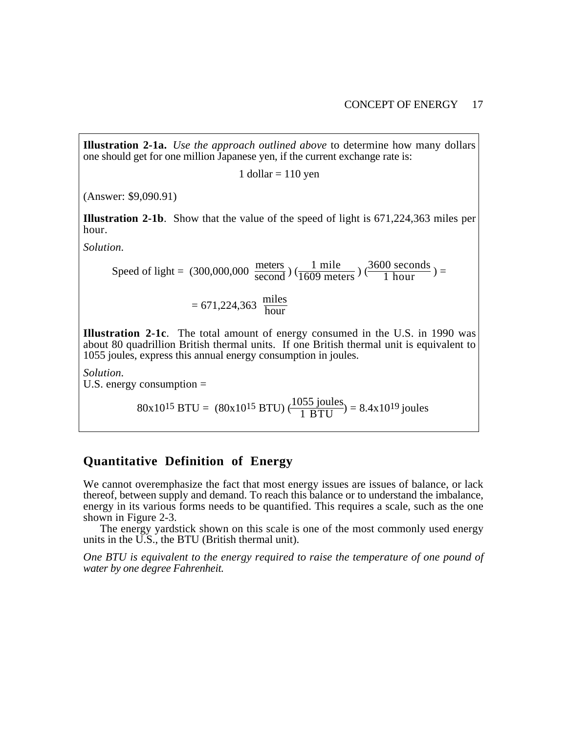**Illustration 2-1a.** *Use the approach outlined above* to determine how many dollars one should get for one million Japanese yen, if the current exchange rate is:

1 dollar  $= 110$  yen

(Answer: \$9,090.91)

**Illustration 2-1b**. Show that the value of the speed of light is 671,224,363 miles per hour.

*Solution.*

Speed of light =  $(300,000,000 \frac{\text{meters}}{\text{second}})$  ( $\frac{1 \text{ mile}}{1609 \text{ meters}}$ )  $(\frac{3600 \text{ seconds}}{1 \text{ hour}})$  =

$$
= 671,224,363 \frac{\text{miles}}{\text{hour}}
$$

**Illustration 2-1c**. The total amount of energy consumed in the U.S. in 1990 was about 80 quadrillion British thermal units. If one British thermal unit is equivalent to 1055 joules, express this annual energy consumption in joules.

*Solution.*

U.S. energy consumption =

80x10<sup>15</sup> BTU = (80x10<sup>15</sup> BTU)  $\left(\frac{1055 \text{ joules}}{1 \text{ BTU}}\right) = 8.4 \times 10^{19} \text{ joules}$ 

## **Quantitative Definition of Energy**

We cannot overemphasize the fact that most energy issues are issues of balance, or lack thereof, between supply and demand. To reach this balance or to understand the imbalance, energy in its various forms needs to be quantified. This requires a scale, such as the one shown in Figure 2-3.

The energy yardstick shown on this scale is one of the most commonly used energy units in the U.S., the BTU (British thermal unit).

*One BTU is equivalent to the energy required to raise the temperature of one pound of water by one degree Fahrenheit.*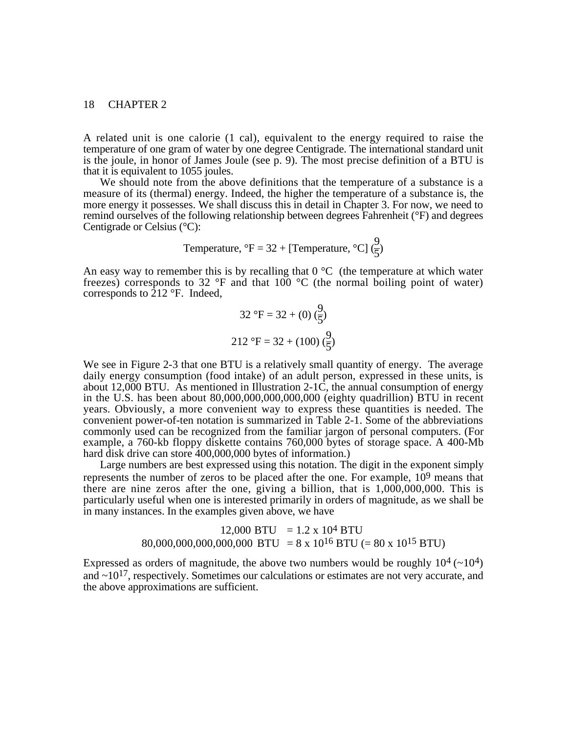A related unit is one calorie (1 cal), equivalent to the energy required to raise the temperature of one gram of water by one degree Centigrade. The international standard unit is the joule, in honor of James Joule (see p. 9). The most precise definition of a BTU is that it is equivalent to 1055 joules.

We should note from the above definitions that the temperature of a substance is a measure of its (thermal) energy. Indeed, the higher the temperature of a substance is, the more energy it possesses. We shall discuss this in detail in Chapter 3. For now, we need to remind ourselves of the following relationship between degrees Fahrenheit (°F) and degrees Centigrade or Celsius (°C):

Temperature, 
$$
^{\circ}F = 32 + [Temperature, ^{\circ}C](\frac{9}{5})
$$

An easy way to remember this is by recalling that  $0^{\circ}$ C (the temperature at which water freezes) corresponds to 32  $\degree$ F and that 100  $\degree$ C (the normal boiling point of water) corresponds to  $\overline{2}12$  °F. Indeed,

$$
32 \text{ }^{\circ}F = 32 + (0) \left(\frac{9}{5}\right)
$$

$$
212 \text{ }^{\circ}F = 32 + (100) \left(\frac{9}{5}\right)
$$

We see in Figure 2-3 that one BTU is a relatively small quantity of energy. The average daily energy consumption (food intake) of an adult person, expressed in these units, is about  $12,000$  BTU. As mentioned in Illustration 2-1C, the annual consumption of energy in the U.S. has been about 80,000,000,000,000,000 (eighty quadrillion) BTU in recent years. Obviously, a more convenient way to express these quantities is needed. The convenient power-of-ten notation is summarized in Table 2-1. Some of the abbreviations commonly used can be recognized from the familiar jargon of personal computers. (For example, a 760-kb floppy diskette contains 760,000 bytes of storage space. A 400-Mb hard disk drive can store 400,000,000 bytes of information.)

Large numbers are best expressed using this notation. The digit in the exponent simply represents the number of zeros to be placed after the one. For example, 109 means that there are nine zeros after the one, giving a billion, that is 1,000,000,000. This is particularly useful when one is interested primarily in orders of magnitude, as we shall be in many instances. In the examples given above, we have

## $12,000$  BTU =  $1.2 \times 10^4$  BTU 80,000,000,000,000,000 BTU = 8 x 10<sup>16</sup> BTU (= 80 x 10<sup>15</sup> BTU)

Expressed as orders of magnitude, the above two numbers would be roughly  $10^4$  ( $\sim$ 10<sup>4</sup>) and  $\sim$ 10<sup>17</sup>, respectively. Sometimes our calculations or estimates are not very accurate, and the above approximations are sufficient.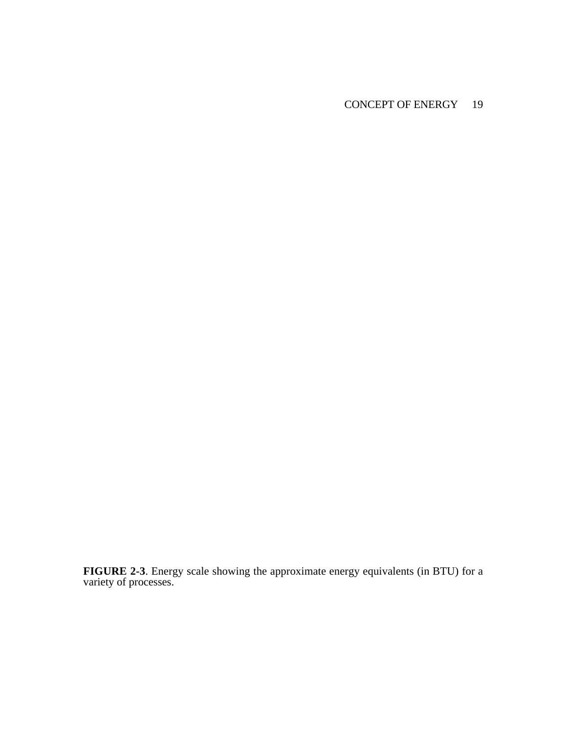## CONCEPT OF ENERGY 19

**FIGURE 2-3**. Energy scale showing the approximate energy equivalents (in BTU) for a variety of processes.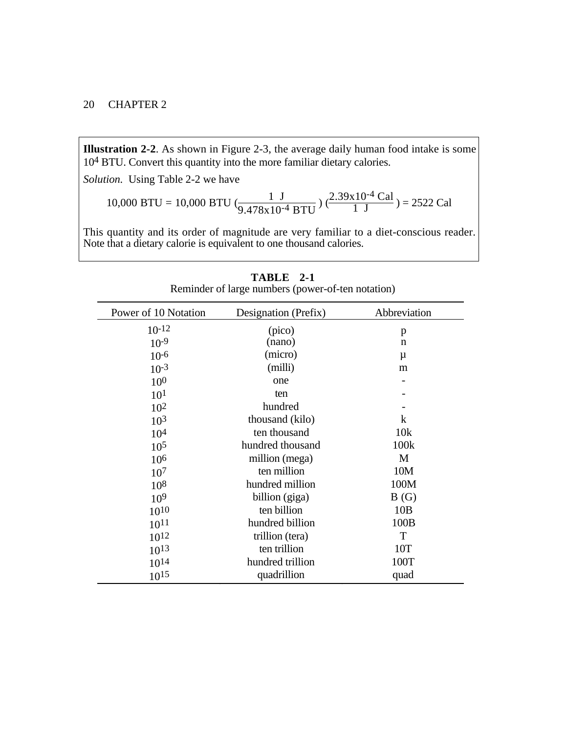**Illustration 2-2**. As shown in Figure 2-3, the average daily human food intake is some 104 BTU. Convert this quantity into the more familiar dietary calories.

*Solution.* Using Table 2-2 we have

10,000 BTU = 10,000 BTU 
$$
(\frac{1 \text{ J}}{9.478 \times 10^{-4} \text{ BTU}})
$$
  $(\frac{2.39 \times 10^{-4} \text{ Cal}}{1 \text{ J}})$  = 2522 Cal

This quantity and its order of magnitude are very familiar to a diet-conscious reader. Note that a dietary calorie is equivalent to one thousand calories.

| Power of 10 Notation | Designation (Prefix) | Abbreviation     |
|----------------------|----------------------|------------------|
| $10^{-12}$           | (pico)               | p                |
| $10^{-9}$            | (nano)               | $\mathbf n$      |
| $10^{-6}$            | (micro)              | μ                |
| $10^{-3}$            | (milli)              | m                |
| 10 <sup>0</sup>      | one                  |                  |
| 10 <sup>1</sup>      | ten                  |                  |
| $10^{2}$             | hundred              |                  |
| 10 <sup>3</sup>      | thousand (kilo)      | $\bf k$          |
| 10 <sup>4</sup>      | ten thousand         | 10k              |
| 10 <sup>5</sup>      | hundred thousand     | 100 <sub>k</sub> |
| 106                  | million (mega)       | M                |
| 10 <sup>7</sup>      | ten million          | 10M              |
| $10^{8}$             | hundred million      | 100M             |
| 10 <sup>9</sup>      | billion (giga)       | B(G)             |
| 1010                 | ten billion          | 10B              |
| $10^{11}$            | hundred billion      | 100B             |
| $10^{12}$            | trillion (tera)      | T                |
| $10^{13}$            | ten trillion         | 10T              |
| 1014                 | hundred trillion     | 100T             |
| $10^{15}$            | quadrillion          | quad             |

**TABLE 2-1**

Reminder of large numbers (power-of-ten notation)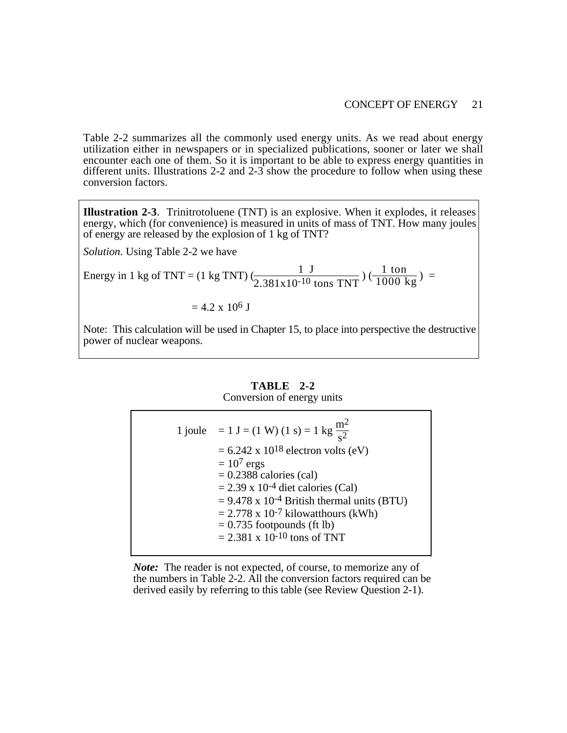#### CONCEPT OF ENERGY 21

Table 2-2 summarizes all the commonly used energy units. As we read about energy utilization either in newspapers or in specialized publications, sooner or later we shall encounter each one of them. So it is important to be able to express energy quantities in different units. Illustrations 2-2 and 2-3 show the procedure to follow when using these conversion factors.

**Illustration 2-3**. Trinitrotoluene (TNT) is an explosive. When it explodes, it releases energy, which (for convenience) is measured in units of mass of TNT. How many joules of energy are released by the explosion of 1 kg of TNT?

*Solution.* Using Table 2-2 we have

Energy in 1 kg of TNT = (1 kg TNT)  $\frac{1 \text{ J}}{(2.381 \text{x} 10^{-10} \text{ tons TNT})}$  ( $\frac{1 \text{ ton}}{1000 \text{ kg}}$ ) =

$$
= 4.2 \times 10^6 \text{ J}
$$

Note: This calculation will be used in Chapter 15, to place into perspective the destructive power of nuclear weapons.

## **TABLE 2-2**

## Conversion of energy units

| 1 joule = 1 J = (1 W) (1 s) = 1 kg $\frac{m^2}{s^2}$     |
|----------------------------------------------------------|
| $= 6.242$ x 10 <sup>18</sup> electron volts (eV)         |
| $= 107$ ergs                                             |
| $= 0.2388$ calories (cal)                                |
| $= 2.39 \times 10^{-4}$ diet calories (Cal)              |
| $= 9.478$ x 10 <sup>-4</sup> British thermal units (BTU) |
| $= 2.778$ x 10 <sup>-7</sup> kilowatthours (kWh)         |
| $= 0.735$ footpounds (ft lb)                             |
| $= 2.381 \times 10^{-10}$ tons of TNT                    |

*Note:* The reader is not expected, of course, to memorize any of the numbers in Table 2-2. All the conversion factors required can be derived easily by referring to this table (see Review Question 2-1).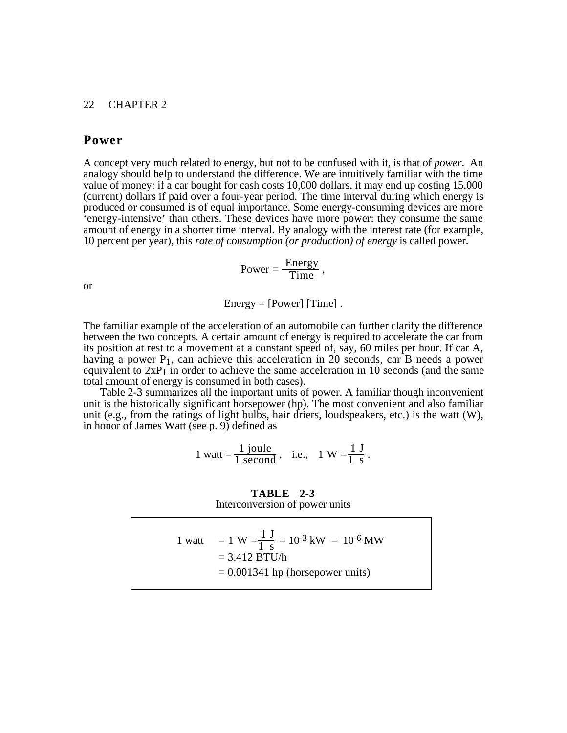## **Power**

A concept very much related to energy, but not to be confused with it, is that of *power*. An analogy should help to understand the difference. We are intuitively familiar with the time value of money: if a car bought for cash costs 10,000 dollars, it may end up costing 15,000 (current) dollars if paid over a four-year period. The time interval during which energy is produced or consumed is of equal importance. Some energy-consuming devices are more 'energy-intensive' than others. These devices have more power: they consume the same amount of energy in a shorter time interval. By analogy with the interest rate (for example, 10 percent per year), this *rate of consumption (or production) of energy* is called power.

$$
Power = \frac{Energy}{Time}
$$

or

 $Energy = [Power]$  [Time].

The familiar example of the acceleration of an automobile can further clarify the difference between the two concepts. A certain amount of energy is required to accelerate the car from its position at rest to a movement at a constant speed of, say, 60 miles per hour. If car A, having a power  $P_1$ , can achieve this acceleration in 20 seconds, car B needs a power equivalent to  $2xP_1$  in order to achieve the same acceleration in 10 seconds (and the same total amount of energy is consumed in both cases).

Table 2-3 summarizes all the important units of power. A familiar though inconvenient unit is the historically significant horsepower (hp). The most convenient and also familiar unit (e.g., from the ratings of light bulbs, hair driers, loudspeakers, etc.) is the watt  $(W)$ , in honor of James Watt (see p. 9) defined as

$$
1 \text{ watt} = \frac{1 \text{ joule}}{1 \text{ second}}, \text{ i.e., } 1 \text{ W} = \frac{1 \text{ J}}{1 \text{ s}}.
$$

**TABLE 2-3** Interconversion of power units

| $= 0.001341$ hp (horsepower units) |
|------------------------------------|
|------------------------------------|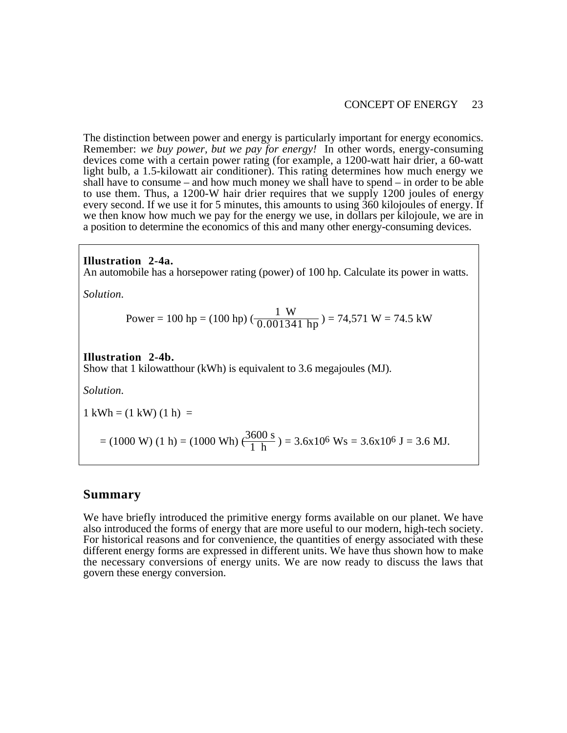### CONCEPT OF ENERGY 23

The distinction between power and energy is particularly important for energy economics. Remember: *we buy power, but we pay for energy!* In other words, energy-consuming devices come with a certain power rating (for example, a 1200-watt hair drier, a 60-watt light bulb, a 1.5-kilowatt air conditioner). This rating determines how much energy we shall have to consume – and how much money we shall have to spend – in order to be able to use them. Thus, a 1200-W hair drier requires that we supply 1200 joules of energy every second. If we use it for 5 minutes, this amounts to using 360 kilojoules of energy. If we then know how much we pay for the energy we use, in dollars per kilojoule, we are in a position to determine the economics of this and many other energy-consuming devices.

### **Illustration 2-4a.**

An automobile has a horsepower rating (power) of 100 hp. Calculate its power in watts.

*Solution.*

Power = 100 hp = (100 hp) 
$$
(\frac{1 \text{ W}}{0.001341 \text{ hp}})
$$
 = 74,571 W = 74.5 kW

#### **Illustration 2-4b.**

Show that 1 kilowatthour (kWh) is equivalent to 3.6 megajoules (MJ).

*Solution.*

 $1 \text{ kWh} = (1 \text{ kW}) (1 \text{ h}) =$ 

 $= (1000 \text{ W}) (1 \text{ h}) = (1000 \text{ Wh}) \left(\frac{3600 \text{ s}}{1 \text{ h}}\right) = 3.6 \times 10^6 \text{ Ws} = 3.6 \times 10^6 \text{ J} = 3.6 \text{ MJ}.$ 

## **Summary**

We have briefly introduced the primitive energy forms available on our planet. We have also introduced the forms of energy that are more useful to our modern, high-tech society. For historical reasons and for convenience, the quantities of energy associated with these different energy forms are expressed in different units. We have thus shown how to make the necessary conversions of energy units. We are now ready to discuss the laws that govern these energy conversion.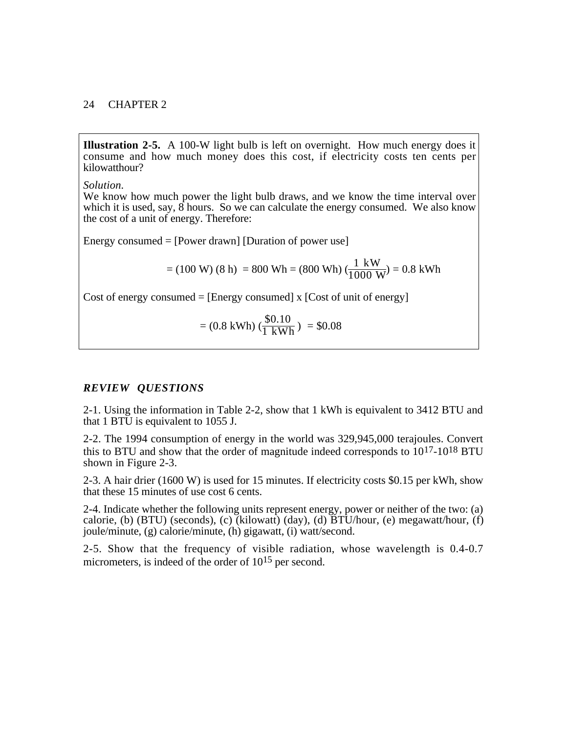**Illustration 2-5.** A 100-W light bulb is left on overnight. How much energy does it consume and how much money does this cost, if electricity costs ten cents per kilowatthour?

*Solution.*

We know how much power the light bulb draws, and we know the time interval over which it is used, say,  $\overline{8}$  hours. So we can calculate the energy consumed. We also know the cost of a unit of energy. Therefore:

Energy consumed = [Power drawn] [Duration of power use]

$$
= (100 W) (8 h) = 800 Wh = (800 Wh) (\frac{1 kW}{1000 W}) = 0.8 kWh
$$

Cost of energy consumed  $=$  [Energy consumed] x [Cost of unit of energy]

$$
= (0.8 \text{ kWh}) \left(\frac{\$0.10}{1 \text{ kWh}}\right) = \$0.08
$$

### *REVIEW QUESTIONS*

2-1. Using the information in Table 2-2, show that 1 kWh is equivalent to 3412 BTU and that 1 BTU is equivalent to 1055 J.

2-2. The 1994 consumption of energy in the world was 329,945,000 terajoules. Convert this to BTU and show that the order of magnitude indeed corresponds to 1017-1018 BTU shown in Figure 2-3.

2-3. A hair drier (1600 W) is used for 15 minutes. If electricity costs \$0.15 per kWh, show that these 15 minutes of use cost 6 cents.

2-4. Indicate whether the following units represent energy, power or neither of the two: (a) calorie, (b) (BTU) (seconds), (c) (kilowatt) (day), (d)  $\overline{BTU}/\text{hour}$ , (e) megawatt/hour, (f) joule/minute, (g) calorie/minute, (h) gigawatt, (i) watt/second.

2-5. Show that the frequency of visible radiation, whose wavelength is 0.4-0.7 micrometers, is indeed of the order of 10<sup>15</sup> per second.